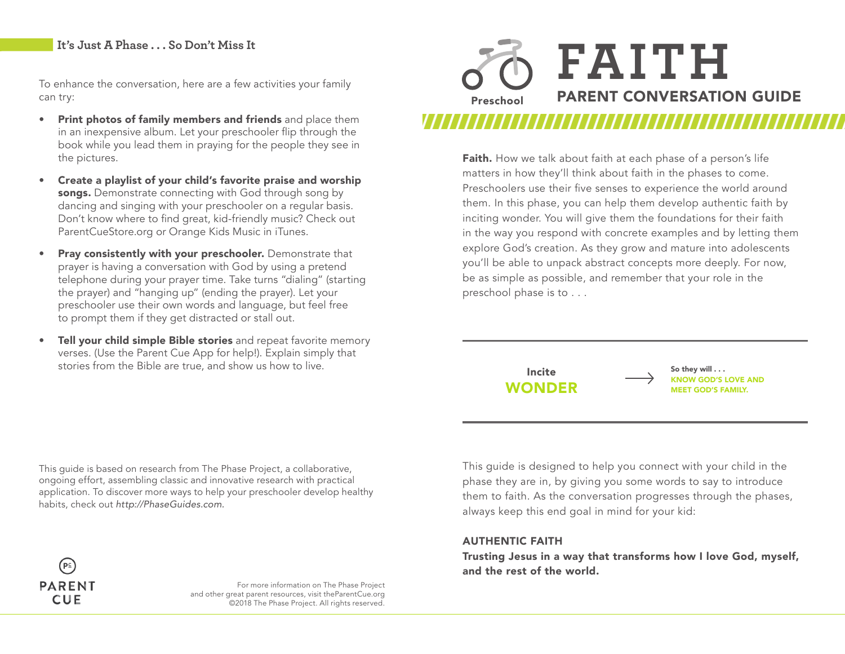## **It's Just A Phase . . . So Don't Miss It**

To enhance the conversation, here are a few activities your family can try:

- Print photos of family members and friends and place them in an inexpensive album. Let your preschooler flip through the book while you lead them in praying for the people they see in the pictures.
- Create a playlist of your child's favorite praise and worship songs. Demonstrate connecting with God through song by dancing and singing with your preschooler on a regular basis. Don't know where to find great, kid-friendly music? Check out ParentCueStore.org or Orange Kids Music in iTunes.
- Pray consistently with your preschooler. Demonstrate that prayer is having a conversation with God by using a pretend telephone during your prayer time. Take turns "dialing" (starting the prayer) and "hanging up" (ending the prayer). Let your preschooler use their own words and language, but feel free to prompt them if they get distracted or stall out.
- Tell your child simple Bible stories and repeat favorite memory verses. (Use the Parent Cue App for help!). Explain simply that stories from the Bible are true, and show us how to live.



Faith. How we talk about faith at each phase of a person's life matters in how they'll think about faith in the phases to come. Preschoolers use their five senses to experience the world around them. In this phase, you can help them develop authentic faith by inciting wonder. You will give them the foundations for their faith in the way you respond with concrete examples and by letting them explore God's creation. As they grow and mature into adolescents you'll be able to unpack abstract concepts more deeply. For now, be as simple as possible, and remember that your role in the preschool phase is to . . .

Incite

So they will . . . KNOW GOD'S LOVE AND WONDER MEET GOD'S FAMILY.

This guide is based on research from The Phase Project, a collaborative, ongoing effort, assembling classic and innovative research with practical application. To discover more ways to help your preschooler develop healthy habits, check out *http://PhaseGuides.com.* 



For more information on The Phase Project and other great parent resources, visit theParentCue.org ©2018 The Phase Project. All rights reserved.

This guide is designed to help you connect with your child in the phase they are in, by giving you some words to say to introduce them to faith. As the conversation progresses through the phases, always keep this end goal in mind for your kid:

#### AUTHENTIC FAITH

Trusting Jesus in a way that transforms how I love God, myself, and the rest of the world.